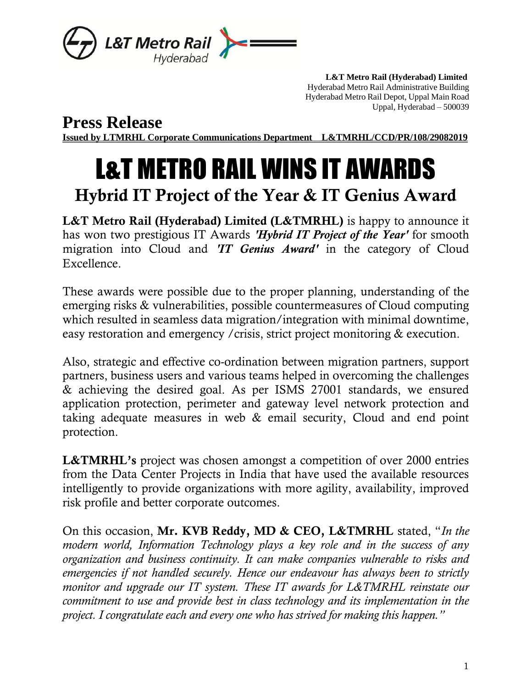

 **L&T Metro Rail (Hyderabad) Limited** Hyderabad Metro Rail Administrative Building Hyderabad Metro Rail Depot, Uppal Main Road Uppal, Hyderabad – 500039

**Press Release**

**Issued by LTMRHL Corporate Communications Department L&TMRHL/CCD/PR/108/29082019**

## L&T METRO RAIL WINS IT AWARDS Hybrid IT Project of the Year & IT Genius Award

L&T Metro Rail (Hyderabad) Limited (L&TMRHL) is happy to announce it has won two prestigious IT Awards *'Hybrid IT Project of the Year'* for smooth migration into Cloud and *'IT Genius Award'* in the category of Cloud Excellence.

These awards were possible due to the proper planning, understanding of the emerging risks & vulnerabilities, possible countermeasures of Cloud computing which resulted in seamless data migration/integration with minimal downtime, easy restoration and emergency /crisis, strict project monitoring & execution.

Also, strategic and effective co-ordination between migration partners, support partners, business users and various teams helped in overcoming the challenges & achieving the desired goal. As per ISMS 27001 standards, we ensured application protection, perimeter and gateway level network protection and taking adequate measures in web & email security, Cloud and end point protection.

L&TMRHL's project was chosen amongst a competition of over 2000 entries from the Data Center Projects in India that have used the available resources intelligently to provide organizations with more agility, availability, improved risk profile and better corporate outcomes.

On this occasion, Mr. KVB Reddy, MD & CEO, L&TMRHL stated, "*In the modern world, Information Technology plays a key role and in the success of any organization and business continuity. It can make companies vulnerable to risks and emergencies if not handled securely. Hence our endeavour has always been to strictly monitor and upgrade our IT system. These IT awards for L&TMRHL reinstate our commitment to use and provide best in class technology and its implementation in the project. I congratulate each and every one who has strived for making this happen."*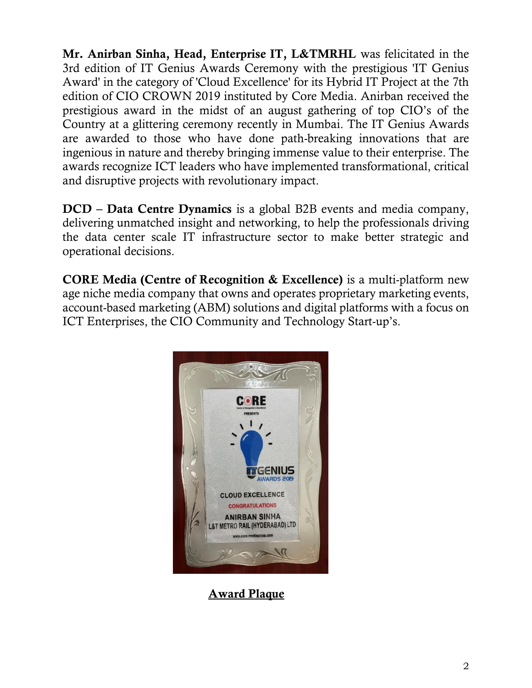Mr. Anirban Sinha, Head, Enterprise IT, L&TMRHL was felicitated in the 3rd edition of IT Genius Awards Ceremony with the prestigious 'IT Genius Award' in the category of 'Cloud Excellence' for its Hybrid IT Project at the 7th edition of CIO CROWN 2019 instituted by Core Media. Anirban received the prestigious award in the midst of an august gathering of top CIO's of the Country at a glittering ceremony recently in Mumbai. The IT Genius Awards are awarded to those who have done path-breaking innovations that are ingenious in nature and thereby bringing immense value to their enterprise. The awards recognize ICT leaders who have implemented transformational, critical and disruptive projects with revolutionary impact.

DCD – Data Centre Dynamics is a global B2B events and media company, delivering unmatched insight and networking, to help the professionals driving the data center scale IT infrastructure sector to make better strategic and operational decisions.

CORE Media (Centre of Recognition & Excellence) is a multi-platform new age niche media company that owns and operates proprietary marketing events, account-based marketing (ABM) solutions and digital platforms with a focus on ICT Enterprises, the CIO Community and Technology Start-up's.



Award Plaque